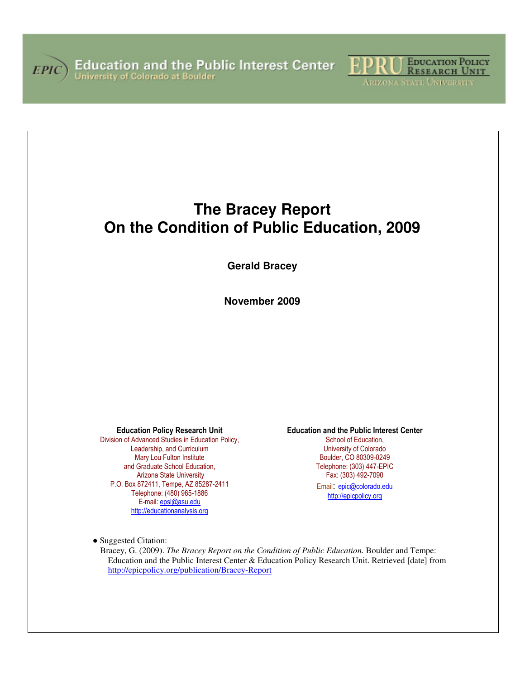



**The Bracey Report On the Condition of Public Education, 2009** 

**Gerald Bracey** 

**November 2009**

Education Policy Research Unit

Division of Advanced Studies in Education Policy, Leadership, and Curriculum Mary Lou Fulton Institute and Graduate School Education, Arizona State University P.O. Box 872411, Tempe, AZ 85287-2411 Telephone: (480) 965-1886 E-mail: epsl@asu.edu http://educationanalysis.org

Education and the Public Interest Center

School of Education. University of Colorado Boulder, CO 80309-0249 Telephone: (303) 447-EPIC Fax: (303) 492-7090 Email: epic@colorado.edu http://epicpolicy.org

● Suggested Citation:

Bracey, G. (2009). *The Bracey Report on the Condition of Public Education.* Boulder and Tempe: Education and the Public Interest Center & Education Policy Research Unit. Retrieved [date] from http://epicpolicy.org/publication/Bracey-Report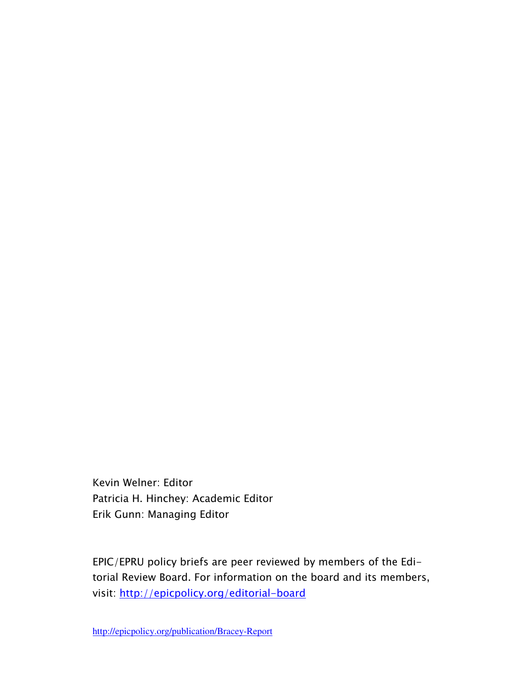Kevin Welner: Editor Patricia H. Hinchey: Academic Editor Erik Gunn: Managing Editor

EPIC/EPRU policy briefs are peer reviewed by members of the Editorial Review Board. For information on the board and its members, visit: http://epicpolicy.org/editorial-board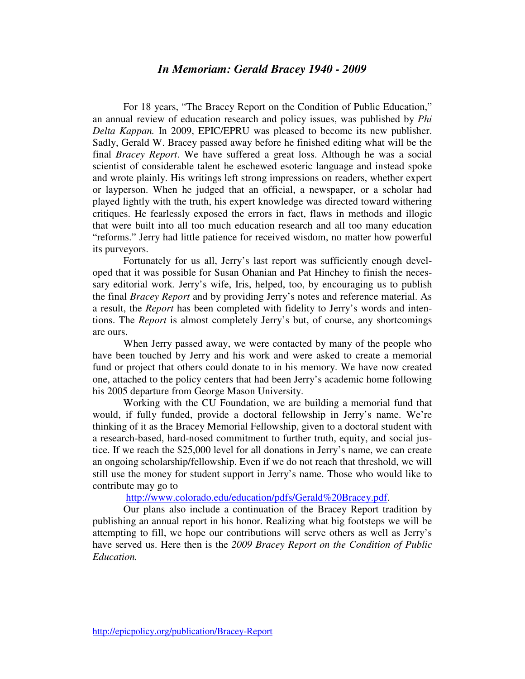### *In Memoriam: Gerald Bracey 1940 - 2009*

For 18 years, "The Bracey Report on the Condition of Public Education," an annual review of education research and policy issues, was published by *Phi Delta Kappan.* In 2009, EPIC/EPRU was pleased to become its new publisher. Sadly, Gerald W. Bracey passed away before he finished editing what will be the final *Bracey Report*. We have suffered a great loss. Although he was a social scientist of considerable talent he eschewed esoteric language and instead spoke and wrote plainly. His writings left strong impressions on readers, whether expert or layperson. When he judged that an official, a newspaper, or a scholar had played lightly with the truth, his expert knowledge was directed toward withering critiques. He fearlessly exposed the errors in fact, flaws in methods and illogic that were built into all too much education research and all too many education "reforms." Jerry had little patience for received wisdom, no matter how powerful its purveyors.

Fortunately for us all, Jerry's last report was sufficiently enough developed that it was possible for Susan Ohanian and Pat Hinchey to finish the necessary editorial work. Jerry's wife, Iris, helped, too, by encouraging us to publish the final *Bracey Report* and by providing Jerry's notes and reference material. As a result, the *Report* has been completed with fidelity to Jerry's words and intentions. The *Report* is almost completely Jerry's but, of course, any shortcomings are ours.

When Jerry passed away, we were contacted by many of the people who have been touched by Jerry and his work and were asked to create a memorial fund or project that others could donate to in his memory. We have now created one, attached to the policy centers that had been Jerry's academic home following his 2005 departure from George Mason University.

Working with the CU Foundation, we are building a memorial fund that would, if fully funded, provide a doctoral fellowship in Jerry's name. We're thinking of it as the Bracey Memorial Fellowship, given to a doctoral student with a research-based, hard-nosed commitment to further truth, equity, and social justice. If we reach the \$25,000 level for all donations in Jerry's name, we can create an ongoing scholarship/fellowship. Even if we do not reach that threshold, we will still use the money for student support in Jerry's name. Those who would like to contribute may go to

http://www.colorado.edu/education/pdfs/Gerald%20Bracey.pdf.

Our plans also include a continuation of the Bracey Report tradition by publishing an annual report in his honor. Realizing what big footsteps we will be attempting to fill, we hope our contributions will serve others as well as Jerry's have served us. Here then is the *2009 Bracey Report on the Condition of Public Education.*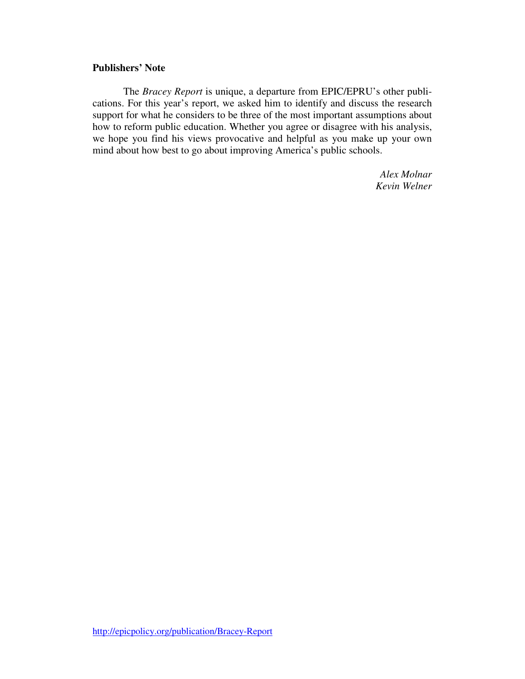### **Publishers' Note**

The *Bracey Report* is unique, a departure from EPIC/EPRU's other publications. For this year's report, we asked him to identify and discuss the research support for what he considers to be three of the most important assumptions about how to reform public education. Whether you agree or disagree with his analysis, we hope you find his views provocative and helpful as you make up your own mind about how best to go about improving America's public schools.

> *Alex Molnar Kevin Welner*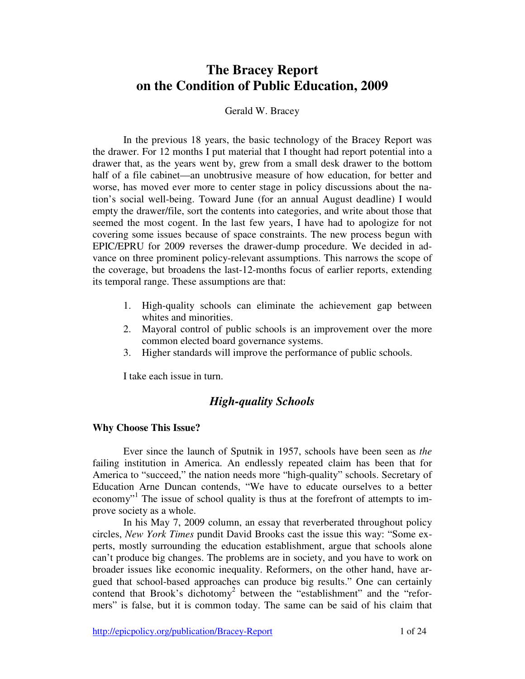# **The Bracey Report on the Condition of Public Education, 2009**

#### Gerald W. Bracey

In the previous 18 years, the basic technology of the Bracey Report was the drawer. For 12 months I put material that I thought had report potential into a drawer that, as the years went by, grew from a small desk drawer to the bottom half of a file cabinet—an unobtrusive measure of how education, for better and worse, has moved ever more to center stage in policy discussions about the nation's social well-being. Toward June (for an annual August deadline) I would empty the drawer/file, sort the contents into categories, and write about those that seemed the most cogent. In the last few years, I have had to apologize for not covering some issues because of space constraints. The new process begun with EPIC/EPRU for 2009 reverses the drawer-dump procedure. We decided in advance on three prominent policy-relevant assumptions. This narrows the scope of the coverage, but broadens the last-12-months focus of earlier reports, extending its temporal range. These assumptions are that:

- 1. High-quality schools can eliminate the achievement gap between whites and minorities.
- 2. Mayoral control of public schools is an improvement over the more common elected board governance systems.
- 3. Higher standards will improve the performance of public schools.

I take each issue in turn.

### *High-quality Schools*

#### **Why Choose This Issue?**

Ever since the launch of Sputnik in 1957, schools have been seen as *the*  failing institution in America. An endlessly repeated claim has been that for America to "succeed," the nation needs more "high-quality" schools. Secretary of Education Arne Duncan contends, "We have to educate ourselves to a better economy"<sup>1</sup> The issue of school quality is thus at the forefront of attempts to improve society as a whole.

In his May 7, 2009 column, an essay that reverberated throughout policy circles, *New York Times* pundit David Brooks cast the issue this way: "Some experts, mostly surrounding the education establishment, argue that schools alone can't produce big changes. The problems are in society, and you have to work on broader issues like economic inequality. Reformers, on the other hand, have argued that school-based approaches can produce big results." One can certainly contend that Brook's dichotomy<sup>2</sup> between the "establishment" and the "reformers" is false, but it is common today. The same can be said of his claim that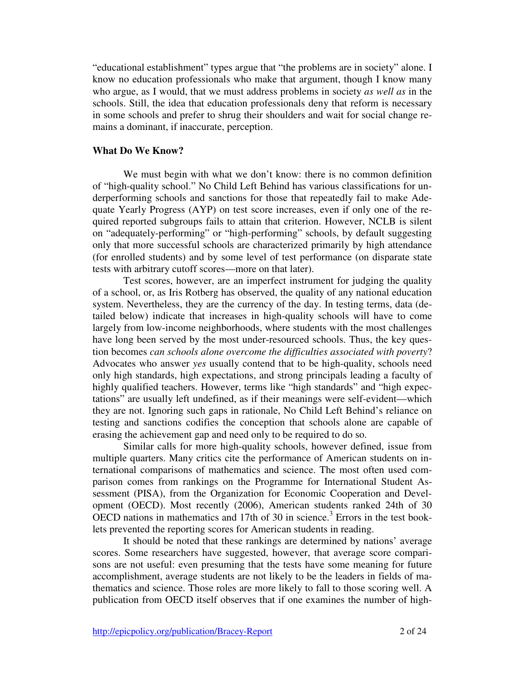"educational establishment" types argue that "the problems are in society" alone. I know no education professionals who make that argument, though I know many who argue, as I would, that we must address problems in society *as well as* in the schools. Still, the idea that education professionals deny that reform is necessary in some schools and prefer to shrug their shoulders and wait for social change remains a dominant, if inaccurate, perception.

### **What Do We Know?**

We must begin with what we don't know: there is no common definition of "high-quality school." No Child Left Behind has various classifications for underperforming schools and sanctions for those that repeatedly fail to make Adequate Yearly Progress (AYP) on test score increases, even if only one of the required reported subgroups fails to attain that criterion. However, NCLB is silent on "adequately-performing" or "high-performing" schools, by default suggesting only that more successful schools are characterized primarily by high attendance (for enrolled students) and by some level of test performance (on disparate state tests with arbitrary cutoff scores—more on that later).

Test scores, however, are an imperfect instrument for judging the quality of a school, or, as Iris Rotberg has observed, the quality of any national education system. Nevertheless, they are the currency of the day. In testing terms, data (detailed below) indicate that increases in high-quality schools will have to come largely from low-income neighborhoods, where students with the most challenges have long been served by the most under-resourced schools. Thus, the key question becomes *can schools alone overcome the difficulties associated with poverty*? Advocates who answer *yes* usually contend that to be high-quality, schools need only high standards, high expectations, and strong principals leading a faculty of highly qualified teachers. However, terms like "high standards" and "high expectations" are usually left undefined, as if their meanings were self-evident—which they are not. Ignoring such gaps in rationale, No Child Left Behind's reliance on testing and sanctions codifies the conception that schools alone are capable of erasing the achievement gap and need only to be required to do so.

Similar calls for more high-quality schools, however defined, issue from multiple quarters. Many critics cite the performance of American students on international comparisons of mathematics and science. The most often used comparison comes from rankings on the Programme for International Student Assessment (PISA), from the Organization for Economic Cooperation and Development (OECD). Most recently (2006), American students ranked 24th of 30 OECD nations in mathematics and 17th of 30 in science.<sup>3</sup> Errors in the test booklets prevented the reporting scores for American students in reading.

It should be noted that these rankings are determined by nations' average scores. Some researchers have suggested, however, that average score comparisons are not useful: even presuming that the tests have some meaning for future accomplishment, average students are not likely to be the leaders in fields of mathematics and science. Those roles are more likely to fall to those scoring well. A publication from OECD itself observes that if one examines the number of high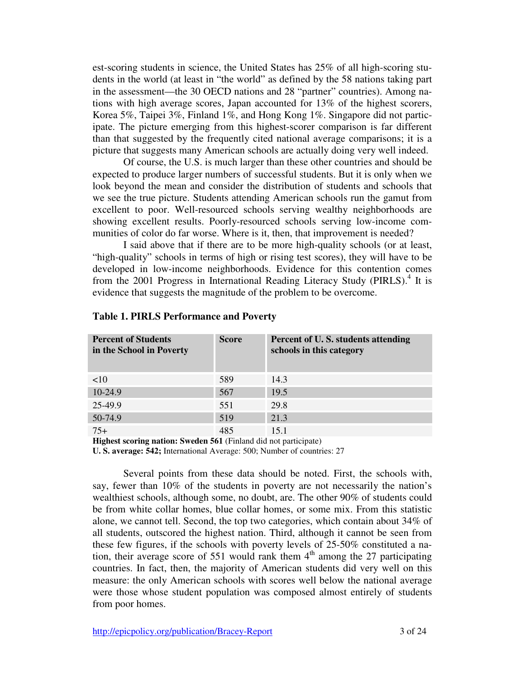est-scoring students in science, the United States has 25% of all high-scoring students in the world (at least in "the world" as defined by the 58 nations taking part in the assessment—the 30 OECD nations and 28 "partner" countries). Among nations with high average scores, Japan accounted for 13% of the highest scorers, Korea 5%, Taipei 3%, Finland 1%, and Hong Kong 1%. Singapore did not participate. The picture emerging from this highest-scorer comparison is far different than that suggested by the frequently cited national average comparisons; it is a picture that suggests many American schools are actually doing very well indeed.

Of course, the U.S. is much larger than these other countries and should be expected to produce larger numbers of successful students. But it is only when we look beyond the mean and consider the distribution of students and schools that we see the true picture. Students attending American schools run the gamut from excellent to poor. Well-resourced schools serving wealthy neighborhoods are showing excellent results. Poorly-resourced schools serving low-income communities of color do far worse. Where is it, then, that improvement is needed?

I said above that if there are to be more high-quality schools (or at least, "high-quality" schools in terms of high or rising test scores), they will have to be developed in low-income neighborhoods. Evidence for this contention comes from the 2001 Progress in International Reading Literacy Study (PIRLS).<sup>4</sup> It is evidence that suggests the magnitude of the problem to be overcome.

| <b>Percent of Students</b><br>in the School in Poverty | <b>Score</b> | Percent of U.S. students attending<br>schools in this category |
|--------------------------------------------------------|--------------|----------------------------------------------------------------|
| <10                                                    | 589          | 14.3                                                           |
| 10-24.9                                                | 567          | 19.5                                                           |
| 25-49.9                                                | 551          | 29.8                                                           |
| 50-74.9                                                | 519          | 21.3                                                           |
| $75+$                                                  | 485          | 15.1                                                           |

### **Table 1. PIRLS Performance and Poverty**

**Highest scoring nation: Sweden 561** (Finland did not participate)

**U. S. average: 542;** International Average: 500; Number of countries: 27

Several points from these data should be noted. First, the schools with, say, fewer than 10% of the students in poverty are not necessarily the nation's wealthiest schools, although some, no doubt, are. The other 90% of students could be from white collar homes, blue collar homes, or some mix. From this statistic alone, we cannot tell. Second, the top two categories, which contain about 34% of all students, outscored the highest nation. Third, although it cannot be seen from these few figures, if the schools with poverty levels of 25-50% constituted a nation, their average score of 551 would rank them  $4<sup>th</sup>$  among the 27 participating countries. In fact, then, the majority of American students did very well on this measure: the only American schools with scores well below the national average were those whose student population was composed almost entirely of students from poor homes.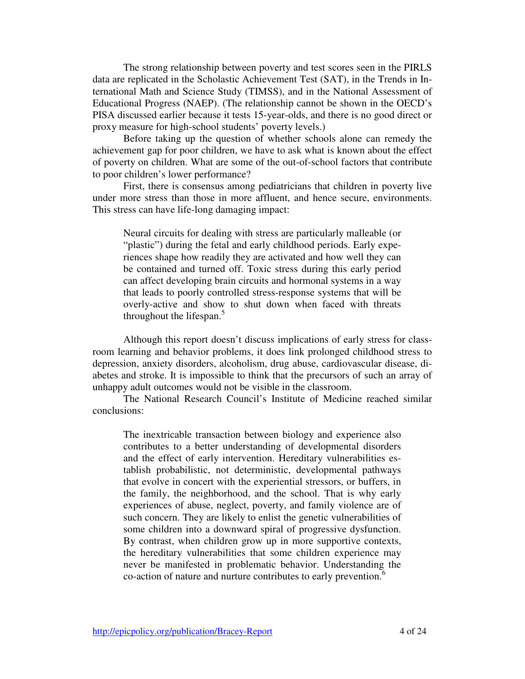The strong relationship between poverty and test scores seen in the PIRLS data are replicated in the Scholastic Achievement Test (SAT), in the Trends in International Math and Science Study (TIMSS), and in the National Assessment of Educational Progress (NAEP). (The relationship cannot be shown in the OECD's PISA discussed earlier because it tests 15-year-olds, and there is no good direct or proxy measure for high-school students' poverty levels.)

Before taking up the question of whether schools alone can remedy the achievement gap for poor children, we have to ask what is known about the effect of poverty on children. What are some of the out-of-school factors that contribute to poor children's lower performance?

First, there is consensus among pediatricians that children in poverty live under more stress than those in more affluent, and hence secure, environments. This stress can have life-long damaging impact:

Neural circuits for dealing with stress are particularly malleable (or "plastic") during the fetal and early childhood periods. Early experiences shape how readily they are activated and how well they can be contained and turned off. Toxic stress during this early period can affect developing brain circuits and hormonal systems in a way that leads to poorly controlled stress-response systems that will be overly-active and show to shut down when faced with threats throughout the lifespan.<sup>5</sup>

Although this report doesn't discuss implications of early stress for classroom learning and behavior problems, it does link prolonged childhood stress to depression, anxiety disorders, alcoholism, drug abuse, cardiovascular disease, diabetes and stroke. It is impossible to think that the precursors of such an array of unhappy adult outcomes would not be visible in the classroom.

The National Research Council's Institute of Medicine reached similar conclusions:

The inextricable transaction between biology and experience also contributes to a better understanding of developmental disorders and the effect of early intervention. Hereditary vulnerabilities establish probabilistic, not deterministic, developmental pathways that evolve in concert with the experiential stressors, or buffers, in the family, the neighborhood, and the school. That is why early experiences of abuse, neglect, poverty, and family violence are of such concern. They are likely to enlist the genetic vulnerabilities of some children into a downward spiral of progressive dysfunction. By contrast, when children grow up in more supportive contexts, the hereditary vulnerabilities that some children experience may never be manifested in problematic behavior. Understanding the co-action of nature and nurture contributes to early prevention.<sup>6</sup>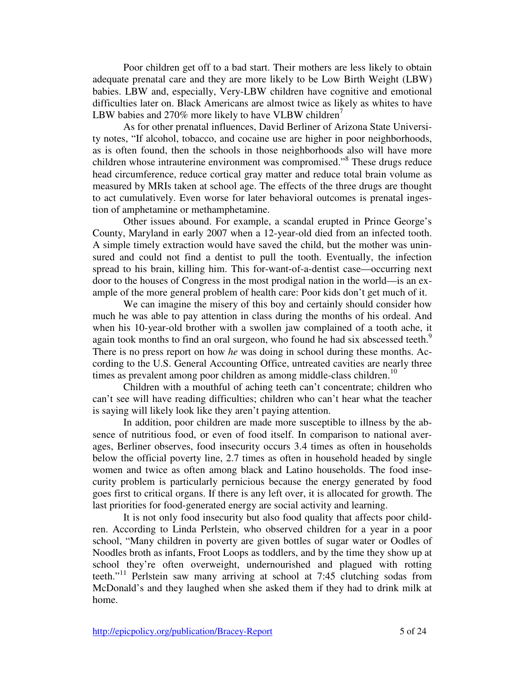Poor children get off to a bad start. Their mothers are less likely to obtain adequate prenatal care and they are more likely to be Low Birth Weight (LBW) babies. LBW and, especially, Very-LBW children have cognitive and emotional difficulties later on. Black Americans are almost twice as likely as whites to have LBW babies and 270% more likely to have VLBW children<sup>7</sup>

As for other prenatal influences, David Berliner of Arizona State University notes, "If alcohol, tobacco, and cocaine use are higher in poor neighborhoods, as is often found, then the schools in those neighborhoods also will have more children whose intrauterine environment was compromised."<sup>8</sup> These drugs reduce head circumference, reduce cortical gray matter and reduce total brain volume as measured by MRIs taken at school age. The effects of the three drugs are thought to act cumulatively. Even worse for later behavioral outcomes is prenatal ingestion of amphetamine or methamphetamine.

Other issues abound. For example, a scandal erupted in Prince George's County, Maryland in early 2007 when a 12-year-old died from an infected tooth. A simple timely extraction would have saved the child, but the mother was uninsured and could not find a dentist to pull the tooth. Eventually, the infection spread to his brain, killing him. This for-want-of-a-dentist case—occurring next door to the houses of Congress in the most prodigal nation in the world—is an example of the more general problem of health care: Poor kids don't get much of it.

We can imagine the misery of this boy and certainly should consider how much he was able to pay attention in class during the months of his ordeal. And when his 10-year-old brother with a swollen jaw complained of a tooth ache, it again took months to find an oral surgeon, who found he had six abscessed teeth.<sup>9</sup> There is no press report on how *he* was doing in school during these months. According to the U.S. General Accounting Office, untreated cavities are nearly three times as prevalent among poor children as among middle-class children.<sup>10</sup>

Children with a mouthful of aching teeth can't concentrate; children who can't see will have reading difficulties; children who can't hear what the teacher is saying will likely look like they aren't paying attention.

In addition, poor children are made more susceptible to illness by the absence of nutritious food, or even of food itself. In comparison to national averages, Berliner observes, food insecurity occurs 3.4 times as often in households below the official poverty line, 2.7 times as often in household headed by single women and twice as often among black and Latino households. The food insecurity problem is particularly pernicious because the energy generated by food goes first to critical organs. If there is any left over, it is allocated for growth. The last priorities for food-generated energy are social activity and learning.

It is not only food insecurity but also food quality that affects poor children. According to Linda Perlstein, who observed children for a year in a poor school, "Many children in poverty are given bottles of sugar water or Oodles of Noodles broth as infants, Froot Loops as toddlers, and by the time they show up at school they're often overweight, undernourished and plagued with rotting teeth."<sup>11</sup> Perlstein saw many arriving at school at 7:45 clutching sodas from McDonald's and they laughed when she asked them if they had to drink milk at home.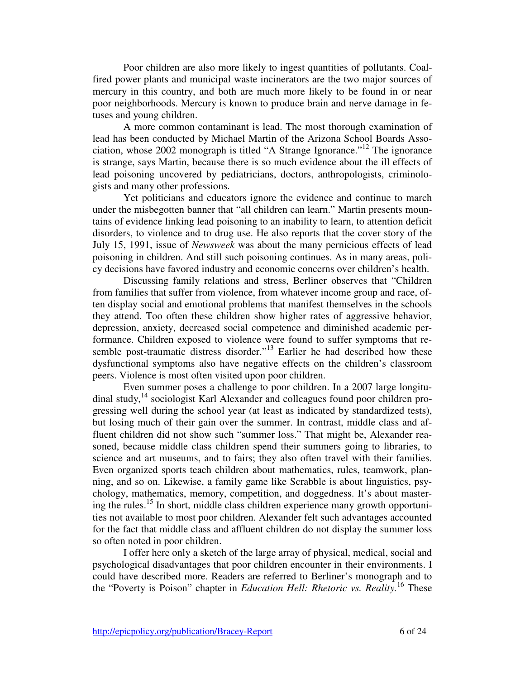Poor children are also more likely to ingest quantities of pollutants. Coalfired power plants and municipal waste incinerators are the two major sources of mercury in this country, and both are much more likely to be found in or near poor neighborhoods. Mercury is known to produce brain and nerve damage in fetuses and young children.

A more common contaminant is lead. The most thorough examination of lead has been conducted by Michael Martin of the Arizona School Boards Association, whose 2002 monograph is titled "A Strange Ignorance."<sup>12</sup> The ignorance is strange, says Martin, because there is so much evidence about the ill effects of lead poisoning uncovered by pediatricians, doctors, anthropologists, criminologists and many other professions.

Yet politicians and educators ignore the evidence and continue to march under the misbegotten banner that "all children can learn." Martin presents mountains of evidence linking lead poisoning to an inability to learn, to attention deficit disorders, to violence and to drug use. He also reports that the cover story of the July 15, 1991, issue of *Newsweek* was about the many pernicious effects of lead poisoning in children. And still such poisoning continues. As in many areas, policy decisions have favored industry and economic concerns over children's health.

Discussing family relations and stress, Berliner observes that "Children from families that suffer from violence, from whatever income group and race, often display social and emotional problems that manifest themselves in the schools they attend. Too often these children show higher rates of aggressive behavior, depression, anxiety, decreased social competence and diminished academic performance. Children exposed to violence were found to suffer symptoms that resemble post-traumatic distress disorder."<sup>13</sup> Earlier he had described how these dysfunctional symptoms also have negative effects on the children's classroom peers. Violence is most often visited upon poor children.

Even summer poses a challenge to poor children. In a 2007 large longitudinal study, $^{14}$  sociologist Karl Alexander and colleagues found poor children progressing well during the school year (at least as indicated by standardized tests), but losing much of their gain over the summer. In contrast, middle class and affluent children did not show such "summer loss." That might be, Alexander reasoned, because middle class children spend their summers going to libraries, to science and art museums, and to fairs; they also often travel with their families. Even organized sports teach children about mathematics, rules, teamwork, planning, and so on. Likewise, a family game like Scrabble is about linguistics, psychology, mathematics, memory, competition, and doggedness. It's about mastering the rules.<sup>15</sup> In short, middle class children experience many growth opportunities not available to most poor children. Alexander felt such advantages accounted for the fact that middle class and affluent children do not display the summer loss so often noted in poor children.

I offer here only a sketch of the large array of physical, medical, social and psychological disadvantages that poor children encounter in their environments. I could have described more. Readers are referred to Berliner's monograph and to the "Poverty is Poison" chapter in *Education Hell: Rhetoric vs. Reality.*<sup>16</sup> These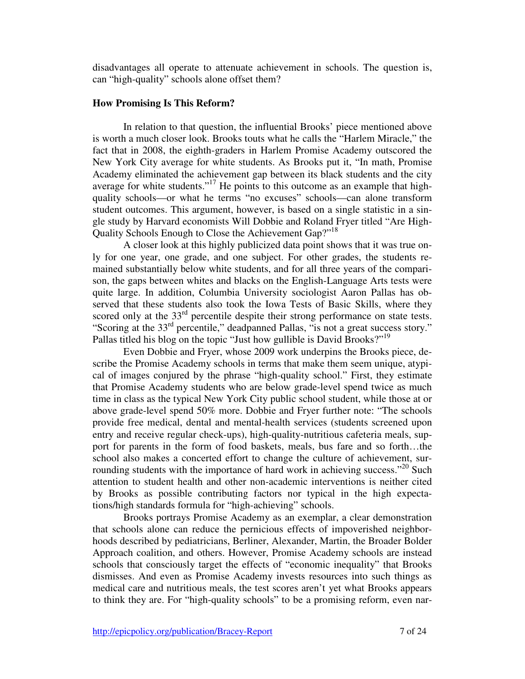disadvantages all operate to attenuate achievement in schools. The question is, can "high-quality" schools alone offset them?

### **How Promising Is This Reform?**

In relation to that question, the influential Brooks' piece mentioned above is worth a much closer look. Brooks touts what he calls the "Harlem Miracle," the fact that in 2008, the eighth-graders in Harlem Promise Academy outscored the New York City average for white students. As Brooks put it, "In math, Promise Academy eliminated the achievement gap between its black students and the city average for white students."<sup>17</sup> He points to this outcome as an example that highquality schools—or what he terms "no excuses" schools—can alone transform student outcomes. This argument, however, is based on a single statistic in a single study by Harvard economists Will Dobbie and Roland Fryer titled "Are High-Quality Schools Enough to Close the Achievement Gap?"<sup>18</sup>

A closer look at this highly publicized data point shows that it was true only for one year, one grade, and one subject. For other grades, the students remained substantially below white students, and for all three years of the comparison, the gaps between whites and blacks on the English-Language Arts tests were quite large. In addition, Columbia University sociologist Aaron Pallas has observed that these students also took the Iowa Tests of Basic Skills, where they scored only at the 33<sup>rd</sup> percentile despite their strong performance on state tests. "Scoring at the 33rd percentile," deadpanned Pallas, "is not a great success story." Pallas titled his blog on the topic "Just how gullible is David Brooks?"<sup>19</sup>

Even Dobbie and Fryer, whose 2009 work underpins the Brooks piece, describe the Promise Academy schools in terms that make them seem unique, atypical of images conjured by the phrase "high-quality school." First, they estimate that Promise Academy students who are below grade-level spend twice as much time in class as the typical New York City public school student, while those at or above grade-level spend 50% more. Dobbie and Fryer further note: "The schools provide free medical, dental and mental-health services (students screened upon entry and receive regular check-ups), high-quality-nutritious cafeteria meals, support for parents in the form of food baskets, meals, bus fare and so forth…the school also makes a concerted effort to change the culture of achievement, surrounding students with the importance of hard work in achieving success."<sup>20</sup> Such attention to student health and other non-academic interventions is neither cited by Brooks as possible contributing factors nor typical in the high expectations/high standards formula for "high-achieving" schools.

Brooks portrays Promise Academy as an exemplar, a clear demonstration that schools alone can reduce the pernicious effects of impoverished neighborhoods described by pediatricians, Berliner, Alexander, Martin, the Broader Bolder Approach coalition, and others. However, Promise Academy schools are instead schools that consciously target the effects of "economic inequality" that Brooks dismisses. And even as Promise Academy invests resources into such things as medical care and nutritious meals, the test scores aren't yet what Brooks appears to think they are. For "high-quality schools" to be a promising reform, even nar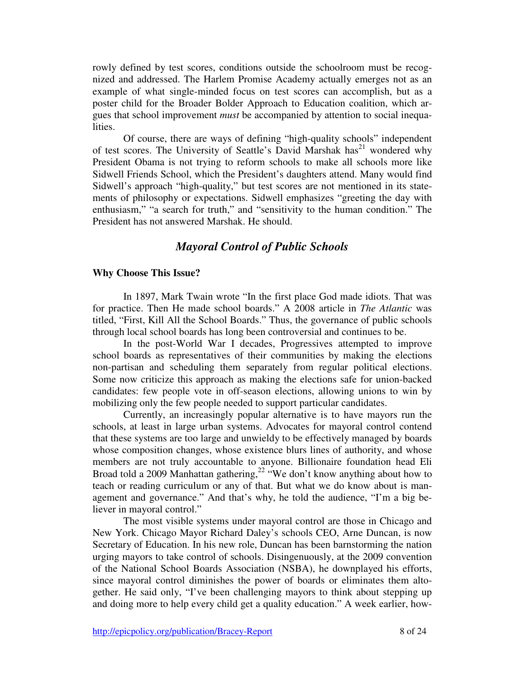rowly defined by test scores, conditions outside the schoolroom must be recognized and addressed. The Harlem Promise Academy actually emerges not as an example of what single-minded focus on test scores can accomplish, but as a poster child for the Broader Bolder Approach to Education coalition, which argues that school improvement *must* be accompanied by attention to social inequalities.

Of course, there are ways of defining "high-quality schools" independent of test scores. The University of Seattle's David Marshak has<sup>21</sup> wondered why President Obama is not trying to reform schools to make all schools more like Sidwell Friends School, which the President's daughters attend. Many would find Sidwell's approach "high-quality," but test scores are not mentioned in its statements of philosophy or expectations. Sidwell emphasizes "greeting the day with enthusiasm," "a search for truth," and "sensitivity to the human condition." The President has not answered Marshak. He should.

### *Mayoral Control of Public Schools*

### **Why Choose This Issue?**

In 1897, Mark Twain wrote "In the first place God made idiots. That was for practice. Then He made school boards." A 2008 article in *The Atlantic* was titled, "First, Kill All the School Boards." Thus, the governance of public schools through local school boards has long been controversial and continues to be.

In the post-World War I decades, Progressives attempted to improve school boards as representatives of their communities by making the elections non-partisan and scheduling them separately from regular political elections. Some now criticize this approach as making the elections safe for union-backed candidates: few people vote in off-season elections, allowing unions to win by mobilizing only the few people needed to support particular candidates.

Currently, an increasingly popular alternative is to have mayors run the schools, at least in large urban systems. Advocates for mayoral control contend that these systems are too large and unwieldy to be effectively managed by boards whose composition changes, whose existence blurs lines of authority, and whose members are not truly accountable to anyone. Billionaire foundation head Eli Broad told a 2009 Manhattan gathering,<sup>22</sup> "We don't know anything about how to teach or reading curriculum or any of that. But what we do know about is management and governance." And that's why, he told the audience, "I'm a big believer in mayoral control."

The most visible systems under mayoral control are those in Chicago and New York. Chicago Mayor Richard Daley's schools CEO, Arne Duncan, is now Secretary of Education. In his new role, Duncan has been barnstorming the nation urging mayors to take control of schools. Disingenuously, at the 2009 convention of the National School Boards Association (NSBA), he downplayed his efforts, since mayoral control diminishes the power of boards or eliminates them altogether. He said only, "I've been challenging mayors to think about stepping up and doing more to help every child get a quality education." A week earlier, how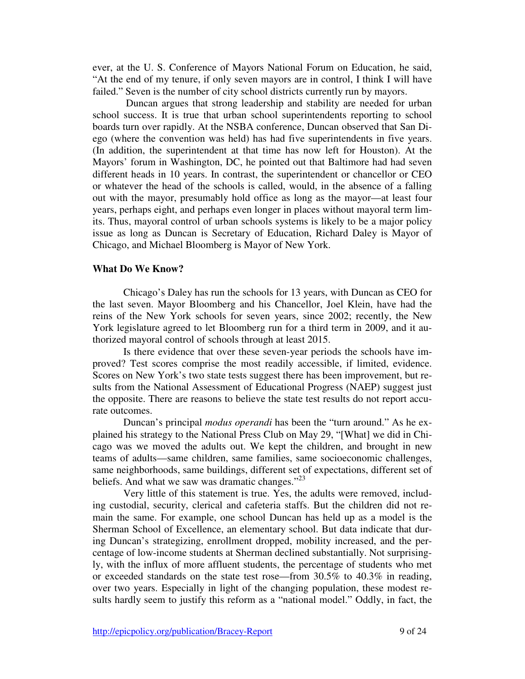ever, at the U. S. Conference of Mayors National Forum on Education, he said, "At the end of my tenure, if only seven mayors are in control, I think I will have failed." Seven is the number of city school districts currently run by mayors.

 Duncan argues that strong leadership and stability are needed for urban school success. It is true that urban school superintendents reporting to school boards turn over rapidly. At the NSBA conference, Duncan observed that San Diego (where the convention was held) has had five superintendents in five years. (In addition, the superintendent at that time has now left for Houston). At the Mayors' forum in Washington, DC, he pointed out that Baltimore had had seven different heads in 10 years. In contrast, the superintendent or chancellor or CEO or whatever the head of the schools is called, would, in the absence of a falling out with the mayor, presumably hold office as long as the mayor—at least four years, perhaps eight, and perhaps even longer in places without mayoral term limits. Thus, mayoral control of urban schools systems is likely to be a major policy issue as long as Duncan is Secretary of Education, Richard Daley is Mayor of Chicago, and Michael Bloomberg is Mayor of New York.

### **What Do We Know?**

Chicago's Daley has run the schools for 13 years, with Duncan as CEO for the last seven. Mayor Bloomberg and his Chancellor, Joel Klein, have had the reins of the New York schools for seven years, since 2002; recently, the New York legislature agreed to let Bloomberg run for a third term in 2009, and it authorized mayoral control of schools through at least 2015.

Is there evidence that over these seven-year periods the schools have improved? Test scores comprise the most readily accessible, if limited, evidence. Scores on New York's two state tests suggest there has been improvement, but results from the National Assessment of Educational Progress (NAEP) suggest just the opposite. There are reasons to believe the state test results do not report accurate outcomes.

Duncan's principal *modus operandi* has been the "turn around." As he explained his strategy to the National Press Club on May 29, "[What] we did in Chicago was we moved the adults out. We kept the children, and brought in new teams of adults—same children, same families, same socioeconomic challenges, same neighborhoods, same buildings, different set of expectations, different set of beliefs. And what we saw was dramatic changes."<sup>23</sup>

Very little of this statement is true. Yes, the adults were removed, including custodial, security, clerical and cafeteria staffs. But the children did not remain the same. For example, one school Duncan has held up as a model is the Sherman School of Excellence, an elementary school. But data indicate that during Duncan's strategizing, enrollment dropped, mobility increased, and the percentage of low-income students at Sherman declined substantially. Not surprisingly, with the influx of more affluent students, the percentage of students who met or exceeded standards on the state test rose—from  $30.5\%$  to  $40.3\%$  in reading, over two years. Especially in light of the changing population, these modest results hardly seem to justify this reform as a "national model." Oddly, in fact, the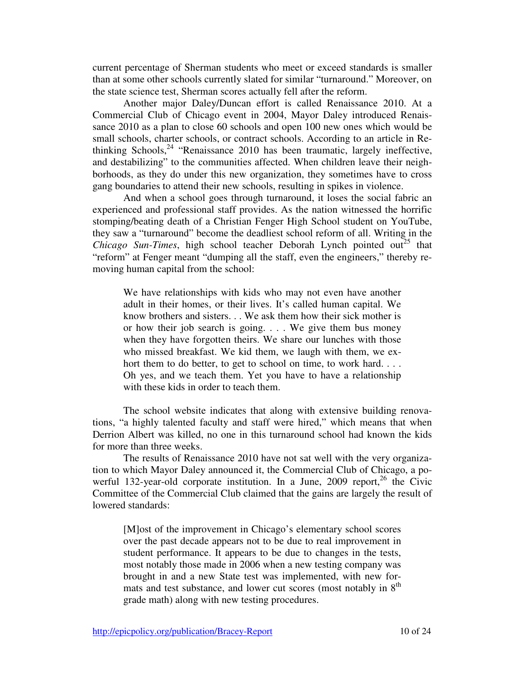current percentage of Sherman students who meet or exceed standards is smaller than at some other schools currently slated for similar "turnaround." Moreover, on the state science test, Sherman scores actually fell after the reform.

Another major Daley/Duncan effort is called Renaissance 2010. At a Commercial Club of Chicago event in 2004, Mayor Daley introduced Renaissance 2010 as a plan to close 60 schools and open 100 new ones which would be small schools, charter schools, or contract schools. According to an article in Rethinking Schools,<sup>24</sup> "Renaissance 2010 has been traumatic, largely ineffective, and destabilizing" to the communities affected. When children leave their neighborhoods, as they do under this new organization, they sometimes have to cross gang boundaries to attend their new schools, resulting in spikes in violence.

And when a school goes through turnaround, it loses the social fabric an experienced and professional staff provides. As the nation witnessed the horrific stomping/beating death of a Christian Fenger High School student on YouTube, they saw a "turnaround" become the deadliest school reform of all. Writing in the *Chicago Sun-Times*, high school teacher Deborah Lynch pointed out<sup>25</sup> that "reform" at Fenger meant "dumping all the staff, even the engineers," thereby removing human capital from the school:

We have relationships with kids who may not even have another adult in their homes, or their lives. It's called human capital. We know brothers and sisters. . . We ask them how their sick mother is or how their job search is going. . . . We give them bus money when they have forgotten theirs. We share our lunches with those who missed breakfast. We kid them, we laugh with them, we exhort them to do better, to get to school on time, to work hard. . . . Oh yes, and we teach them. Yet you have to have a relationship with these kids in order to teach them.

The school website indicates that along with extensive building renovations, "a highly talented faculty and staff were hired," which means that when Derrion Albert was killed, no one in this turnaround school had known the kids for more than three weeks.

The results of Renaissance 2010 have not sat well with the very organization to which Mayor Daley announced it, the Commercial Club of Chicago, a powerful 132-year-old corporate institution. In a June, 2009 report,  $^{26}$  the Civic Committee of the Commercial Club claimed that the gains are largely the result of lowered standards:

[M]ost of the improvement in Chicago's elementary school scores over the past decade appears not to be due to real improvement in student performance. It appears to be due to changes in the tests, most notably those made in 2006 when a new testing company was brought in and a new State test was implemented, with new formats and test substance, and lower cut scores (most notably in  $8<sup>th</sup>$ ) grade math) along with new testing procedures.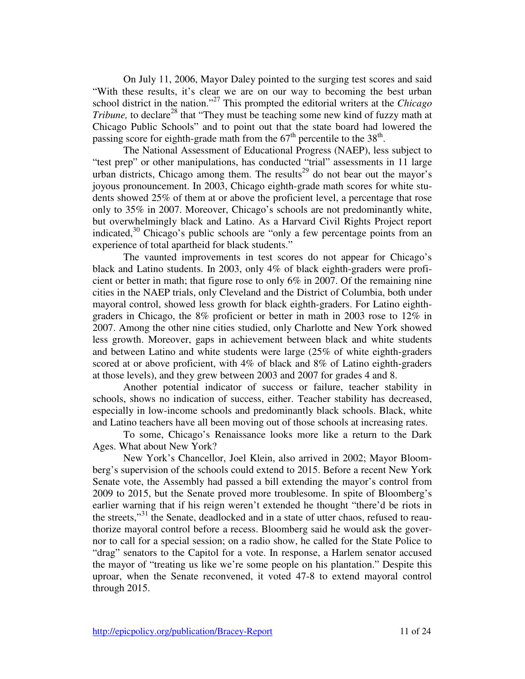On July 11, 2006, Mayor Daley pointed to the surging test scores and said "With these results, it's clear we are on our way to becoming the best urban school district in the nation."<sup>27</sup> This prompted the editorial writers at the *Chicago Tribune*, to declare<sup>28</sup> that "They must be teaching some new kind of fuzzy math at Chicago Public Schools" and to point out that the state board had lowered the passing score for eighth-grade math from the  $67<sup>th</sup>$  percentile to the  $38<sup>th</sup>$ .

The National Assessment of Educational Progress (NAEP), less subject to "test prep" or other manipulations, has conducted "trial" assessments in 11 large urban districts, Chicago among them. The results<sup>29</sup> do not bear out the mayor's joyous pronouncement. In 2003, Chicago eighth-grade math scores for white students showed 25% of them at or above the proficient level, a percentage that rose only to 35% in 2007. Moreover, Chicago's schools are not predominantly white, but overwhelmingly black and Latino. As a Harvard Civil Rights Project report indicated, $30$  Chicago's public schools are "only a few percentage points from an experience of total apartheid for black students."

The vaunted improvements in test scores do not appear for Chicago's black and Latino students. In 2003, only 4% of black eighth-graders were proficient or better in math; that figure rose to only  $6\%$  in 2007. Of the remaining nine cities in the NAEP trials, only Cleveland and the District of Columbia, both under mayoral control, showed less growth for black eighth-graders. For Latino eighthgraders in Chicago, the 8% proficient or better in math in 2003 rose to 12% in 2007. Among the other nine cities studied, only Charlotte and New York showed less growth. Moreover, gaps in achievement between black and white students and between Latino and white students were large (25% of white eighth-graders scored at or above proficient, with 4% of black and 8% of Latino eighth-graders at those levels), and they grew between 2003 and 2007 for grades 4 and 8.

Another potential indicator of success or failure, teacher stability in schools, shows no indication of success, either. Teacher stability has decreased, especially in low-income schools and predominantly black schools. Black, white and Latino teachers have all been moving out of those schools at increasing rates.

To some, Chicago's Renaissance looks more like a return to the Dark Ages. What about New York?

New York's Chancellor, Joel Klein, also arrived in 2002; Mayor Bloomberg's supervision of the schools could extend to 2015. Before a recent New York Senate vote, the Assembly had passed a bill extending the mayor's control from 2009 to 2015, but the Senate proved more troublesome. In spite of Bloomberg's earlier warning that if his reign weren't extended he thought "there'd be riots in the streets,"<sup>31</sup> the Senate, deadlocked and in a state of utter chaos, refused to reauthorize mayoral control before a recess. Bloomberg said he would ask the governor to call for a special session; on a radio show, he called for the State Police to "drag" senators to the Capitol for a vote. In response, a Harlem senator accused the mayor of "treating us like we're some people on his plantation." Despite this uproar, when the Senate reconvened, it voted 47-8 to extend mayoral control through 2015.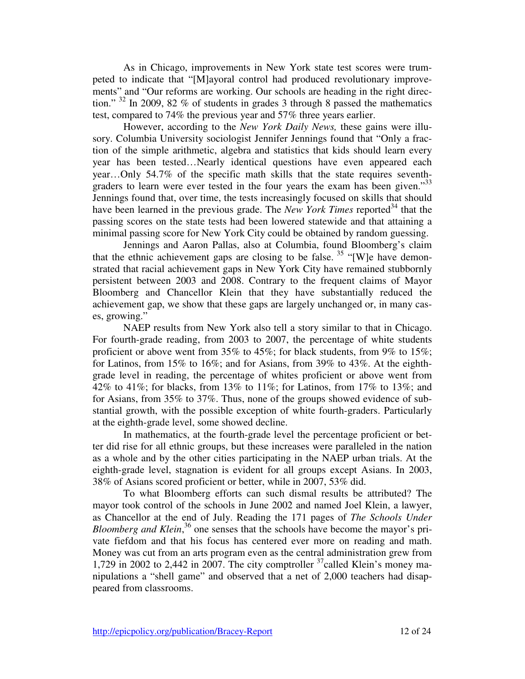As in Chicago, improvements in New York state test scores were trumpeted to indicate that "[M]ayoral control had produced revolutionary improvements" and "Our reforms are working. Our schools are heading in the right direction."  $32 \text{ In } 2009$ ,  $82 \%$  of students in grades 3 through 8 passed the mathematics test, compared to 74% the previous year and 57% three years earlier.

However, according to the *New York Daily News,* these gains were illusory. Columbia University sociologist Jennifer Jennings found that "Only a fraction of the simple arithmetic, algebra and statistics that kids should learn every year has been tested…Nearly identical questions have even appeared each year…Only 54.7% of the specific math skills that the state requires seventhgraders to learn were ever tested in the four years the exam has been given.<sup>33</sup> Jennings found that, over time, the tests increasingly focused on skills that should have been learned in the previous grade. The *New York Times* reported<sup>34</sup> that the passing scores on the state tests had been lowered statewide and that attaining a minimal passing score for New York City could be obtained by random guessing.

Jennings and Aaron Pallas, also at Columbia, found Bloomberg's claim that the ethnic achievement gaps are closing to be false.<sup>35</sup> "[W]e have demonstrated that racial achievement gaps in New York City have remained stubbornly persistent between 2003 and 2008. Contrary to the frequent claims of Mayor Bloomberg and Chancellor Klein that they have substantially reduced the achievement gap, we show that these gaps are largely unchanged or, in many cases, growing."

NAEP results from New York also tell a story similar to that in Chicago. For fourth-grade reading, from 2003 to 2007, the percentage of white students proficient or above went from 35% to 45%; for black students, from 9% to  $15\%$ ; for Latinos, from 15% to 16%; and for Asians, from 39% to 43%. At the eighthgrade level in reading, the percentage of whites proficient or above went from 42% to 41%; for blacks, from 13% to 11%; for Latinos, from 17% to 13%; and for Asians, from 35% to 37%. Thus, none of the groups showed evidence of substantial growth, with the possible exception of white fourth-graders. Particularly at the eighth-grade level, some showed decline.

In mathematics, at the fourth-grade level the percentage proficient or better did rise for all ethnic groups, but these increases were paralleled in the nation as a whole and by the other cities participating in the NAEP urban trials. At the eighth-grade level, stagnation is evident for all groups except Asians. In 2003, 38% of Asians scored proficient or better, while in 2007, 53% did.

To what Bloomberg efforts can such dismal results be attributed? The mayor took control of the schools in June 2002 and named Joel Klein, a lawyer, as Chancellor at the end of July. Reading the 171 pages of *The Schools Under*  Bloomberg and Klein,<sup>36</sup> one senses that the schools have become the mayor's private fiefdom and that his focus has centered ever more on reading and math. Money was cut from an arts program even as the central administration grew from 1,729 in 2002 to 2,442 in 2007. The city comptroller  $37$  called Klein's money manipulations a "shell game" and observed that a net of 2,000 teachers had disappeared from classrooms.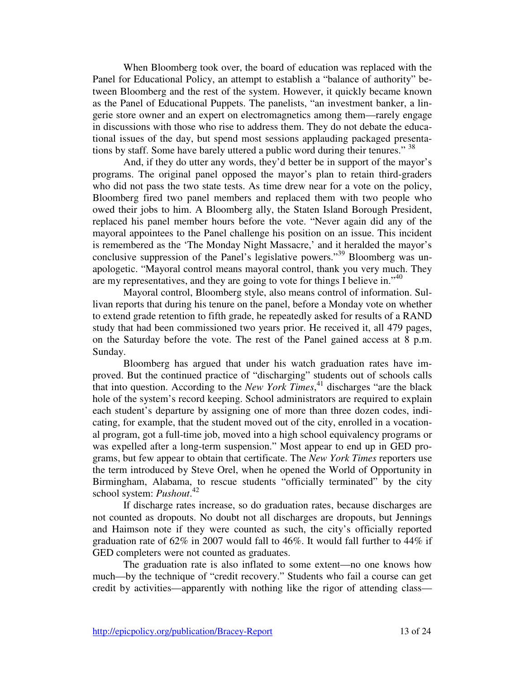When Bloomberg took over, the board of education was replaced with the Panel for Educational Policy, an attempt to establish a "balance of authority" between Bloomberg and the rest of the system. However, it quickly became known as the Panel of Educational Puppets. The panelists, "an investment banker, a lingerie store owner and an expert on electromagnetics among them—rarely engage in discussions with those who rise to address them. They do not debate the educational issues of the day, but spend most sessions applauding packaged presentations by staff. Some have barely uttered a public word during their tenures." <sup>38</sup>

And, if they do utter any words, they'd better be in support of the mayor's programs. The original panel opposed the mayor's plan to retain third-graders who did not pass the two state tests. As time drew near for a vote on the policy, Bloomberg fired two panel members and replaced them with two people who owed their jobs to him. A Bloomberg ally, the Staten Island Borough President, replaced his panel member hours before the vote. "Never again did any of the mayoral appointees to the Panel challenge his position on an issue. This incident is remembered as the 'The Monday Night Massacre,' and it heralded the mayor's conclusive suppression of the Panel's legislative powers."<sup>39</sup> Bloomberg was unapologetic. "Mayoral control means mayoral control, thank you very much. They are my representatives, and they are going to vote for things I believe in."  $40$ 

Mayoral control, Bloomberg style, also means control of information. Sullivan reports that during his tenure on the panel, before a Monday vote on whether to extend grade retention to fifth grade, he repeatedly asked for results of a RAND study that had been commissioned two years prior. He received it, all 479 pages, on the Saturday before the vote. The rest of the Panel gained access at 8 p.m. Sunday.

Bloomberg has argued that under his watch graduation rates have improved. But the continued practice of "discharging" students out of schools calls that into question. According to the *New York Times*, <sup>41</sup> discharges "are the black hole of the system's record keeping. School administrators are required to explain each student's departure by assigning one of more than three dozen codes, indicating, for example, that the student moved out of the city, enrolled in a vocational program, got a full-time job, moved into a high school equivalency programs or was expelled after a long-term suspension." Most appear to end up in GED programs, but few appear to obtain that certificate. The *New York Times* reporters use the term introduced by Steve Orel, when he opened the World of Opportunity in Birmingham, Alabama, to rescue students "officially terminated" by the city school system: *Pushout*. 42

If discharge rates increase, so do graduation rates, because discharges are not counted as dropouts. No doubt not all discharges are dropouts, but Jennings and Haimson note if they were counted as such, the city's officially reported graduation rate of 62% in 2007 would fall to 46%. It would fall further to 44% if GED completers were not counted as graduates.

The graduation rate is also inflated to some extent—no one knows how much—by the technique of "credit recovery." Students who fail a course can get credit by activities—apparently with nothing like the rigor of attending class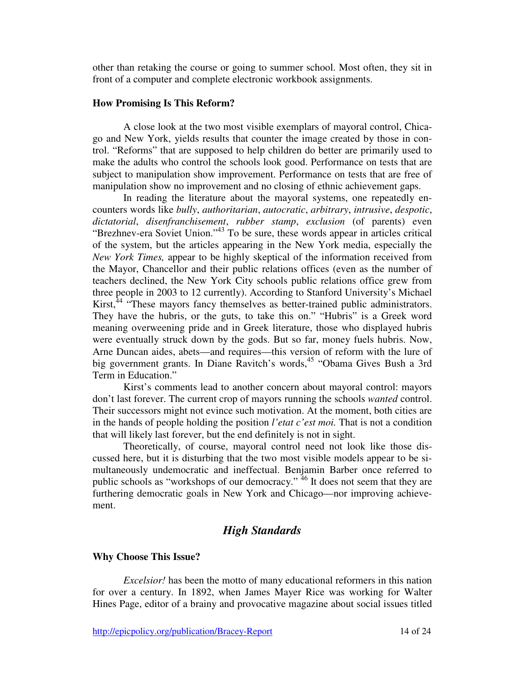other than retaking the course or going to summer school. Most often, they sit in front of a computer and complete electronic workbook assignments.

### **How Promising Is This Reform?**

A close look at the two most visible exemplars of mayoral control, Chicago and New York, yields results that counter the image created by those in control. "Reforms" that are supposed to help children do better are primarily used to make the adults who control the schools look good. Performance on tests that are subject to manipulation show improvement. Performance on tests that are free of manipulation show no improvement and no closing of ethnic achievement gaps.

In reading the literature about the mayoral systems, one repeatedly encounters words like *bully*, *authoritarian*, *autocratic*, *arbitrary*, *intrusive*, *despotic*, *dictatorial*, *disenfranchisement*, *rubber stamp*, *exclusion* (of parents) even "Brezhnev-era Soviet Union."<sup>43</sup> To be sure, these words appear in articles critical of the system, but the articles appearing in the New York media, especially the *New York Times,* appear to be highly skeptical of the information received from the Mayor, Chancellor and their public relations offices (even as the number of teachers declined, the New York City schools public relations office grew from three people in 2003 to 12 currently). According to Stanford University's Michael Kirst,<sup>44</sup> "These mayors fancy themselves as better-trained public administrators. They have the hubris, or the guts, to take this on." "Hubris" is a Greek word meaning overweening pride and in Greek literature, those who displayed hubris were eventually struck down by the gods. But so far, money fuels hubris. Now, Arne Duncan aides, abets—and requires—this version of reform with the lure of big government grants. In Diane Ravitch's words,<sup>45</sup> "Obama Gives Bush a 3rd Term in Education."

Kirst's comments lead to another concern about mayoral control: mayors don't last forever. The current crop of mayors running the schools *wanted* control. Their successors might not evince such motivation. At the moment, both cities are in the hands of people holding the position *l'etat c'est moi.* That is not a condition that will likely last forever, but the end definitely is not in sight.

Theoretically, of course, mayoral control need not look like those discussed here, but it is disturbing that the two most visible models appear to be simultaneously undemocratic and ineffectual. Benjamin Barber once referred to public schools as "workshops of our democracy." <sup>46</sup> It does not seem that they are furthering democratic goals in New York and Chicago—nor improving achievement.

# *High Standards*

### **Why Choose This Issue?**

*Excelsior!* has been the motto of many educational reformers in this nation for over a century. In 1892, when James Mayer Rice was working for Walter Hines Page, editor of a brainy and provocative magazine about social issues titled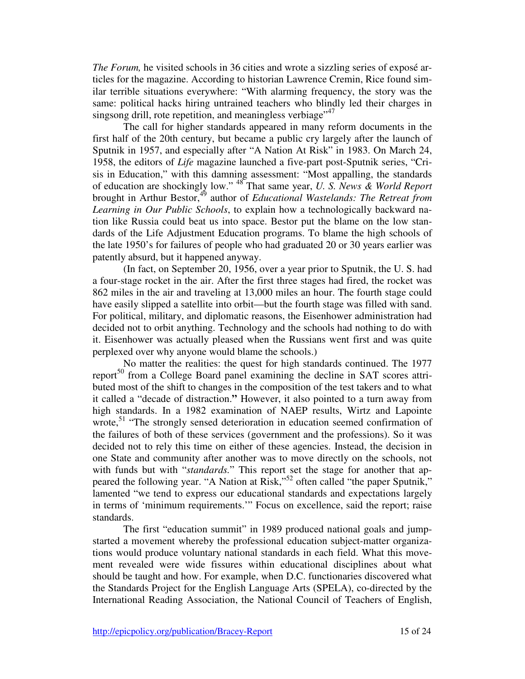*The Forum,* he visited schools in 36 cities and wrote a sizzling series of exposé articles for the magazine. According to historian Lawrence Cremin, Rice found similar terrible situations everywhere: "With alarming frequency, the story was the same: political hacks hiring untrained teachers who blindly led their charges in singsong drill, rote repetition, and meaningless verbiage<sup> $,47$ </sup>

The call for higher standards appeared in many reform documents in the first half of the 20th century, but became a public cry largely after the launch of Sputnik in 1957, and especially after "A Nation At Risk" in 1983. On March 24, 1958, the editors of *Life* magazine launched a five-part post-Sputnik series, "Crisis in Education," with this damning assessment: "Most appalling, the standards of education are shockingly low." <sup>48</sup> That same year, *U. S. News & World Report*  brought in Arthur Bestor,<sup>45</sup> author of *Educational Wastelands: The Retreat from Learning in Our Public Schools*, to explain how a technologically backward nation like Russia could beat us into space. Bestor put the blame on the low standards of the Life Adjustment Education programs. To blame the high schools of the late 1950's for failures of people who had graduated 20 or 30 years earlier was patently absurd, but it happened anyway.

(In fact, on September 20, 1956, over a year prior to Sputnik, the U. S. had a four-stage rocket in the air. After the first three stages had fired, the rocket was 862 miles in the air and traveling at 13,000 miles an hour. The fourth stage could have easily slipped a satellite into orbit—but the fourth stage was filled with sand. For political, military, and diplomatic reasons, the Eisenhower administration had decided not to orbit anything. Technology and the schools had nothing to do with it. Eisenhower was actually pleased when the Russians went first and was quite perplexed over why anyone would blame the schools.)

No matter the realities: the quest for high standards continued. The 1977 report<sup>50</sup> from a College Board panel examining the decline in SAT scores attributed most of the shift to changes in the composition of the test takers and to what it called a "decade of distraction.**"** However, it also pointed to a turn away from high standards. In a 1982 examination of NAEP results, Wirtz and Lapointe wrote,<sup>51</sup> "The strongly sensed deterioration in education seemed confirmation of the failures of both of these services (government and the professions). So it was decided not to rely this time on either of these agencies. Instead, the decision in one State and community after another was to move directly on the schools, not with funds but with "*standards.*" This report set the stage for another that appeared the following year. "A Nation at Risk,"<sup>52</sup> often called "the paper Sputnik," lamented "we tend to express our educational standards and expectations largely in terms of 'minimum requirements.'" Focus on excellence, said the report; raise standards.

The first "education summit" in 1989 produced national goals and jumpstarted a movement whereby the professional education subject-matter organizations would produce voluntary national standards in each field. What this movement revealed were wide fissures within educational disciplines about what should be taught and how. For example, when D.C. functionaries discovered what the Standards Project for the English Language Arts (SPELA), co-directed by the International Reading Association, the National Council of Teachers of English,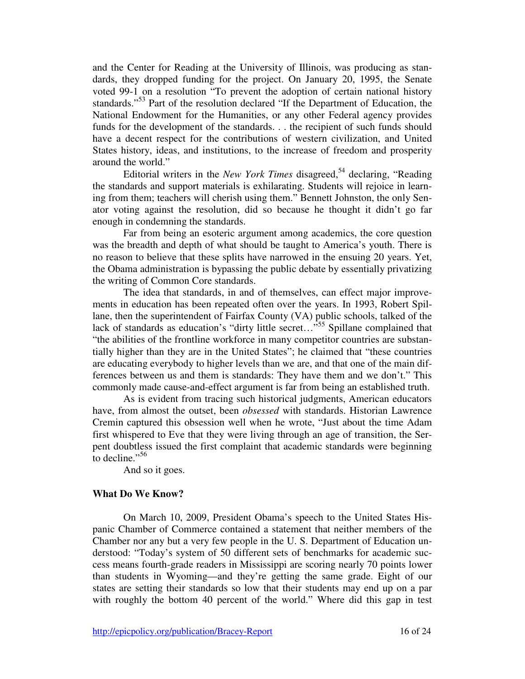and the Center for Reading at the University of Illinois, was producing as standards, they dropped funding for the project. On January 20, 1995, the Senate voted 99-1 on a resolution "To prevent the adoption of certain national history standards."<sup>53</sup> Part of the resolution declared "If the Department of Education, the National Endowment for the Humanities, or any other Federal agency provides funds for the development of the standards. . . the recipient of such funds should have a decent respect for the contributions of western civilization, and United States history, ideas, and institutions, to the increase of freedom and prosperity around the world."

Editorial writers in the *New York Times* disagreed,<sup>54</sup> declaring, "Reading the standards and support materials is exhilarating. Students will rejoice in learning from them; teachers will cherish using them." Bennett Johnston, the only Senator voting against the resolution, did so because he thought it didn't go far enough in condemning the standards.

Far from being an esoteric argument among academics, the core question was the breadth and depth of what should be taught to America's youth. There is no reason to believe that these splits have narrowed in the ensuing 20 years. Yet, the Obama administration is bypassing the public debate by essentially privatizing the writing of Common Core standards.

The idea that standards, in and of themselves, can effect major improvements in education has been repeated often over the years. In 1993, Robert Spillane, then the superintendent of Fairfax County (VA) public schools, talked of the lack of standards as education's "dirty little secret..."<sup>555</sup> Spillane complained that "the abilities of the frontline workforce in many competitor countries are substantially higher than they are in the United States"; he claimed that "these countries are educating everybody to higher levels than we are, and that one of the main differences between us and them is standards: They have them and we don't." This commonly made cause-and-effect argument is far from being an established truth.

As is evident from tracing such historical judgments, American educators have, from almost the outset, been *obsessed* with standards. Historian Lawrence Cremin captured this obsession well when he wrote, "Just about the time Adam first whispered to Eve that they were living through an age of transition, the Serpent doubtless issued the first complaint that academic standards were beginning to decline." $56$ 

And so it goes.

### **What Do We Know?**

On March 10, 2009, President Obama's speech to the United States Hispanic Chamber of Commerce contained a statement that neither members of the Chamber nor any but a very few people in the U. S. Department of Education understood: "Today's system of 50 different sets of benchmarks for academic success means fourth-grade readers in Mississippi are scoring nearly 70 points lower than students in Wyoming—and they're getting the same grade. Eight of our states are setting their standards so low that their students may end up on a par with roughly the bottom 40 percent of the world." Where did this gap in test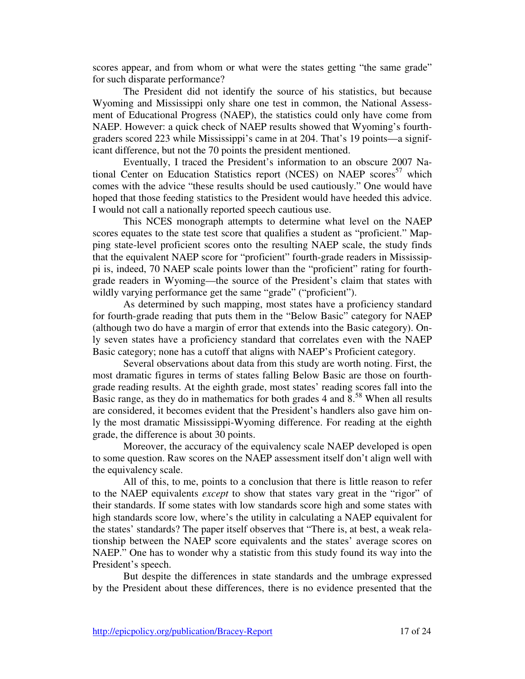scores appear, and from whom or what were the states getting "the same grade" for such disparate performance?

The President did not identify the source of his statistics, but because Wyoming and Mississippi only share one test in common, the National Assessment of Educational Progress (NAEP), the statistics could only have come from NAEP. However: a quick check of NAEP results showed that Wyoming's fourthgraders scored 223 while Mississippi's came in at 204. That's 19 points—a significant difference, but not the 70 points the president mentioned.

Eventually, I traced the President's information to an obscure 2007 National Center on Education Statistics report (NCES) on NAEP scores<sup>57</sup> which comes with the advice "these results should be used cautiously." One would have hoped that those feeding statistics to the President would have heeded this advice. I would not call a nationally reported speech cautious use.

This NCES monograph attempts to determine what level on the NAEP scores equates to the state test score that qualifies a student as "proficient." Mapping state-level proficient scores onto the resulting NAEP scale, the study finds that the equivalent NAEP score for "proficient" fourth-grade readers in Mississippi is, indeed, 70 NAEP scale points lower than the "proficient" rating for fourthgrade readers in Wyoming—the source of the President's claim that states with wildly varying performance get the same "grade" ("proficient").

As determined by such mapping, most states have a proficiency standard for fourth-grade reading that puts them in the "Below Basic" category for NAEP (although two do have a margin of error that extends into the Basic category). Only seven states have a proficiency standard that correlates even with the NAEP Basic category; none has a cutoff that aligns with NAEP's Proficient category.

Several observations about data from this study are worth noting. First, the most dramatic figures in terms of states falling Below Basic are those on fourthgrade reading results. At the eighth grade, most states' reading scores fall into the Basic range, as they do in mathematics for both grades  $4$  and  $8^{58}$  When all results are considered, it becomes evident that the President's handlers also gave him only the most dramatic Mississippi-Wyoming difference. For reading at the eighth grade, the difference is about 30 points.

Moreover, the accuracy of the equivalency scale NAEP developed is open to some question. Raw scores on the NAEP assessment itself don't align well with the equivalency scale.

All of this, to me, points to a conclusion that there is little reason to refer to the NAEP equivalents *except* to show that states vary great in the "rigor" of their standards. If some states with low standards score high and some states with high standards score low, where's the utility in calculating a NAEP equivalent for the states' standards? The paper itself observes that "There is, at best, a weak relationship between the NAEP score equivalents and the states' average scores on NAEP." One has to wonder why a statistic from this study found its way into the President's speech.

But despite the differences in state standards and the umbrage expressed by the President about these differences, there is no evidence presented that the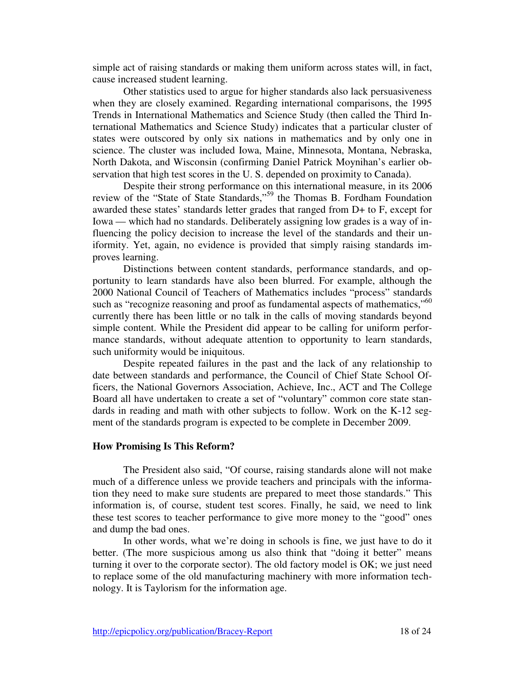simple act of raising standards or making them uniform across states will, in fact, cause increased student learning.

Other statistics used to argue for higher standards also lack persuasiveness when they are closely examined. Regarding international comparisons, the 1995 Trends in International Mathematics and Science Study (then called the Third International Mathematics and Science Study) indicates that a particular cluster of states were outscored by only six nations in mathematics and by only one in science. The cluster was included Iowa, Maine, Minnesota, Montana, Nebraska, North Dakota, and Wisconsin (confirming Daniel Patrick Moynihan's earlier observation that high test scores in the U. S. depended on proximity to Canada).

Despite their strong performance on this international measure, in its 2006 review of the "State of State Standards,"<sup>59</sup> the Thomas B. Fordham Foundation awarded these states' standards letter grades that ranged from D+ to F, except for Iowa — which had no standards. Deliberately assigning low grades is a way of influencing the policy decision to increase the level of the standards and their uniformity. Yet, again, no evidence is provided that simply raising standards improves learning.

Distinctions between content standards, performance standards, and opportunity to learn standards have also been blurred. For example, although the 2000 National Council of Teachers of Mathematics includes "process" standards such as "recognize reasoning and proof as fundamental aspects of mathematics,"<sup>60</sup> currently there has been little or no talk in the calls of moving standards beyond simple content. While the President did appear to be calling for uniform performance standards, without adequate attention to opportunity to learn standards, such uniformity would be iniquitous.

Despite repeated failures in the past and the lack of any relationship to date between standards and performance, the Council of Chief State School Officers, the National Governors Association, Achieve, Inc., ACT and The College Board all have undertaken to create a set of "voluntary" common core state standards in reading and math with other subjects to follow. Work on the K-12 segment of the standards program is expected to be complete in December 2009.

#### **How Promising Is This Reform?**

The President also said, "Of course, raising standards alone will not make much of a difference unless we provide teachers and principals with the information they need to make sure students are prepared to meet those standards." This information is, of course, student test scores. Finally, he said, we need to link these test scores to teacher performance to give more money to the "good" ones and dump the bad ones.

In other words, what we're doing in schools is fine, we just have to do it better. (The more suspicious among us also think that "doing it better" means turning it over to the corporate sector). The old factory model is OK; we just need to replace some of the old manufacturing machinery with more information technology. It is Taylorism for the information age.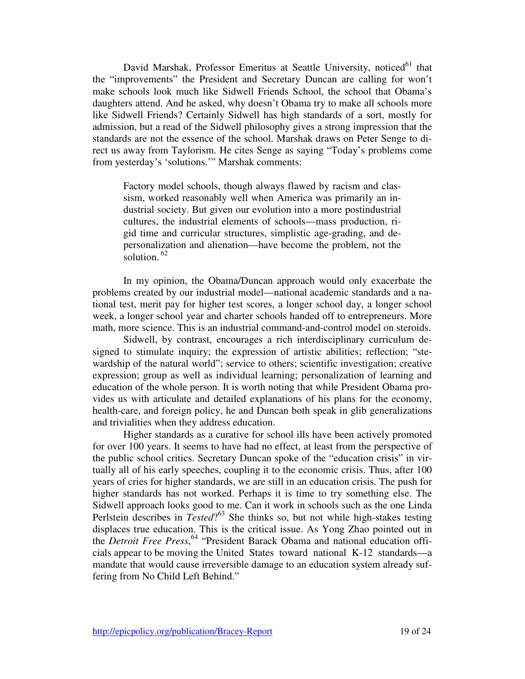David Marshak, Professor Emeritus at Seattle University, noticed<sup>61</sup> that the "improvements" the President and Secretary Duncan are calling for won't make schools look much like Sidwell Friends School, the school that Obama's daughters attend. And he asked, why doesn't Obama try to make all schools more like Sidwell Friends? Certainly Sidwell has high standards of a sort, mostly for admission, but a read of the Sidwell philosophy gives a strong impression that the standards are not the essence of the school. Marshak draws on Peter Senge to direct us away from Taylorism. He cites Senge as saying "Today's problems come from yesterday's 'solutions.'" Marshak comments:

Factory model schools, though always flawed by racism and classism, worked reasonably well when America was primarily an industrial society. But given our evolution into a more postindustrial cultures, the industrial elements of schools—mass production, rigid time and curricular structures, simplistic age-grading, and depersonalization and alienation—have become the problem, not the solution.  $62$ 

In my opinion, the Obama/Duncan approach would only exacerbate the problems created by our industrial model—national academic standards and a national test, merit pay for higher test scores, a longer school day, a longer school week, a longer school year and charter schools handed off to entrepreneurs. More math, more science. This is an industrial command-and-control model on steroids.

Sidwell, by contrast, encourages a rich interdisciplinary curriculum designed to stimulate inquiry; the expression of artistic abilities; reflection; "stewardship of the natural world"; service to others; scientific investigation; creative expression; group as well as individual learning; personalization of learning and education of the whole person. It is worth noting that while President Obama provides us with articulate and detailed explanations of his plans for the economy, health-care, and foreign policy, he and Duncan both speak in glib generalizations and trivialities when they address education.

Higher standards as a curative for school ills have been actively promoted for over 100 years. It seems to have had no effect, at least from the perspective of the public school critics. Secretary Duncan spoke of the "education crisis" in virtually all of his early speeches, coupling it to the economic crisis. Thus, after 100 years of cries for higher standards, we are still in an education crisis. The push for higher standards has not worked. Perhaps it is time to try something else. The Sidwell approach looks good to me. Can it work in schools such as the one Linda Perlstein describes in *Tested*?<sup>63</sup> She thinks so, but not while high-stakes testing displaces true education. This is the critical issue. As Yong Zhao pointed out in the *Detroit Free Press*, <sup>64</sup> "President Barack Obama and national education officials appear to be moving the United States toward national K-12 standards—a mandate that would cause irreversible damage to an education system already suffering from No Child Left Behind."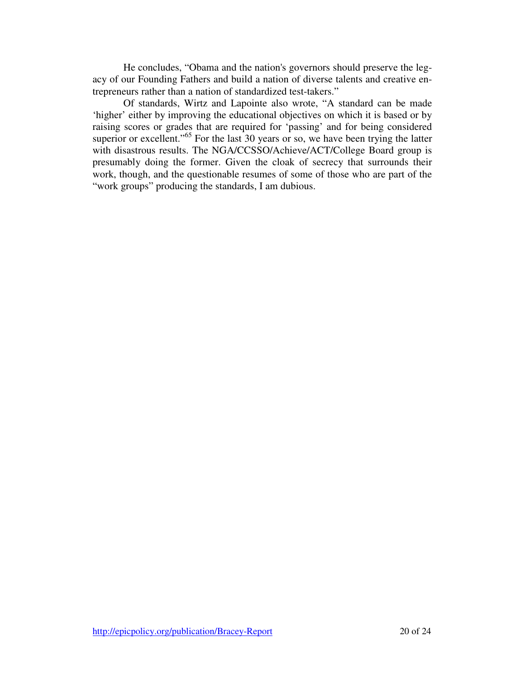He concludes, "Obama and the nation's governors should preserve the legacy of our Founding Fathers and build a nation of diverse talents and creative entrepreneurs rather than a nation of standardized test-takers."

Of standards, Wirtz and Lapointe also wrote, "A standard can be made 'higher' either by improving the educational objectives on which it is based or by raising scores or grades that are required for 'passing' and for being considered superior or excellent."<sup>65</sup> For the last 30 years or so, we have been trying the latter with disastrous results. The NGA/CCSSO/Achieve/ACT/College Board group is presumably doing the former. Given the cloak of secrecy that surrounds their work, though, and the questionable resumes of some of those who are part of the "work groups" producing the standards, I am dubious.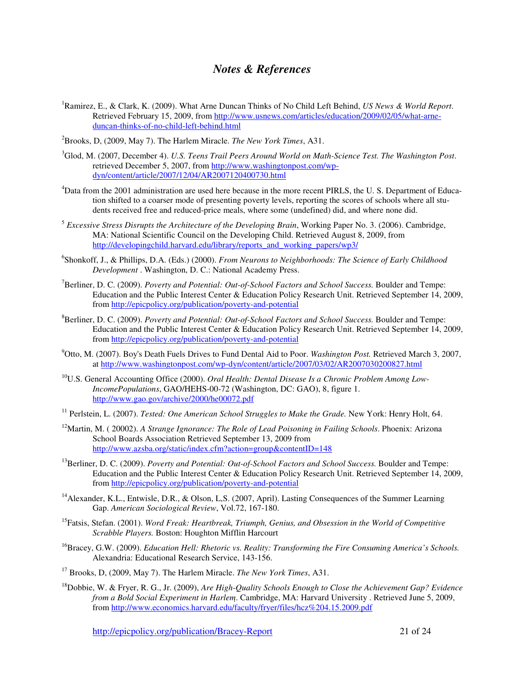## *Notes & References*

- <sup>1</sup>Ramirez, E., & Clark, K. (2009). What Arne Duncan Thinks of No Child Left Behind, *US News & World Report*. Retrieved February 15, 2009, from http://www.usnews.com/articles/education/2009/02/05/what-arneduncan-thinks-of-no-child-left-behind.html
- <sup>2</sup>Brooks, D, (2009, May 7). The Harlem Miracle. *The New York Times*, A31.
- <sup>3</sup>Glod, M. (2007, December 4). *U.S. Teens Trail Peers Around World on Math-Science Test. The Washington Post*. retrieved December 5, 2007, from http://www.washingtonpost.com/wpdyn/content/article/2007/12/04/AR2007120400730.html
- <sup>4</sup>Data from the 2001 administration are used here because in the more recent PIRLS, the U. S. Department of Education shifted to a coarser mode of presenting poverty levels, reporting the scores of schools where all students received free and reduced-price meals, where some (undefined) did, and where none did.
- <sup>5</sup> *Excessive Stress Disrupts the Architecture of the Developing Brain*, Working Paper No. 3. (2006). Cambridge, MA: National Scientific Council on the Developing Child. Retrieved August 8, 2009, from http://developingchild.harvard.edu/library/reports\_and\_working\_papers/wp3/
- 6 Shonkoff, J., & Phillips, D.A. (Eds.) (2000). *From Neurons to Neighborhoods: The Science of Early Childhood Development* . Washington, D. C.: National Academy Press.
- <sup>7</sup>Berliner, D. C. (2009). *Poverty and Potential: Out-of-School Factors and School Success.* Boulder and Tempe: Education and the Public Interest Center & Education Policy Research Unit. Retrieved September 14, 2009, from http://epicpolicy.org/publication/poverty-and-potential
- <sup>8</sup>Berliner, D. C. (2009). *Poverty and Potential: Out-of-School Factors and School Success.* Boulder and Tempe: Education and the Public Interest Center & Education Policy Research Unit. Retrieved September 14, 2009, from http://epicpolicy.org/publication/poverty-and-potential
- <sup>9</sup>Otto, M. (2007). Boy's Death Fuels Drives to Fund Dental Aid to Poor. *Washington Post.* Retrieved March 3, 2007, at http://www.washingtonpost.com/wp-dyn/content/article/2007/03/02/AR2007030200827.html
- <sup>10</sup>U.S. General Accounting Office (2000). *Oral Health: Dental Disease Is a Chronic Problem Among Low-IncomePopulations*, GAO/HEHS-00-72 (Washington, DC: GAO), 8, figure 1. http://www.gao.gov/archive/2000/he00072.pdf
- <sup>11</sup> Perlstein, L. (2007). *Tested: One American School Struggles to Make the Grade.* New York: Henry Holt, 64.
- <sup>12</sup>Martin, M. ( 20002). *A Strange Ignorance: The Role of Lead Poisoning in Failing Schools*. Phoenix: Arizona School Boards Association Retrieved September 13, 2009 from http://www.azsba.org/static/index.cfm?action=group&contentID=148
- <sup>13</sup>Berliner, D. C. (2009). *Poverty and Potential: Out-of-School Factors and School Success.* Boulder and Tempe: Education and the Public Interest Center & Education Policy Research Unit. Retrieved September 14, 2009, from http://epicpolicy.org/publication/poverty-and-potential
- <sup>14</sup> Alexander, K.L., Entwisle, D.R., & Olson, L.S. (2007, April). Lasting Consequences of the Summer Learning Gap. *American Sociological Review*, Vol.72, 167-180.
- <sup>15</sup>Fatsis, Stefan. (2001). *Word Freak: Heartbreak, Triumph, Genius, and Obsession in the World of Competitive Scrabble Players.* Boston: Houghton Mifflin Harcourt
- <sup>16</sup>Bracey, G.W. (2009). *Education Hell: Rhetoric vs. Reality: Transforming the Fire Consuming America's Schools.* Alexandria: Educational Research Service, 143-156.
- <sup>17</sup> Brooks, D, (2009, May 7). The Harlem Miracle. *The New York Times*, A31.
- <sup>18</sup>Dobbie, W. & Fryer, R. G., Jr. (2009), *Are High-Quality Schools Enough to Close the Achievement Gap? Evidence from a Bold Social Experiment in Harlem*. Cambridge, MA: Harvard University . Retrieved June 5, 2009, from http://www.economics.harvard.edu/faculty/fryer/files/hcz%204.15.2009.pdf

http://epicpolicy.org/publication/Bracey-Report21 of 24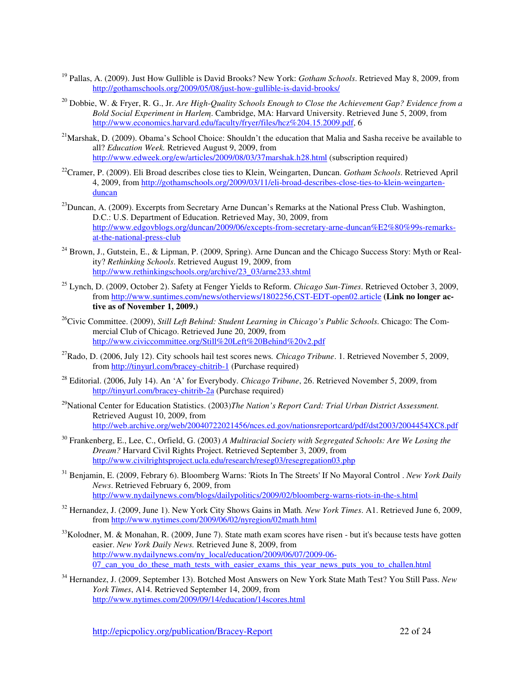- <sup>19</sup> Pallas, A. (2009). Just How Gullible is David Brooks? New York: *Gotham Schools*. Retrieved May 8, 2009, from http://gothamschools.org/2009/05/08/just-how-gullible-is-david-brooks/
- <sup>20</sup> Dobbie, W. & Fryer, R. G., Jr. *Are High-Quality Schools Enough to Close the Achievement Gap? Evidence from a Bold Social Experiment in Harlem*. Cambridge, MA: Harvard University. Retrieved June 5, 2009, from http://www.economics.harvard.edu/faculty/fryer/files/hcz%204.15.2009.pdf, 6
- <sup>21</sup>Marshak, D. (2009). Obama's School Choice: Shouldn't the education that Malia and Sasha receive be available to all? *Education Week.* Retrieved August 9, 2009, from http://www.edweek.org/ew/articles/2009/08/03/37marshak.h28.html (subscription required)
- <sup>22</sup>Cramer, P. (2009). Eli Broad describes close ties to Klein, Weingarten, Duncan. *Gotham Schools*. Retrieved April 4, 2009, from http://gothamschools.org/2009/03/11/eli-broad-describes-close-ties-to-klein-weingartenduncan
- <sup>23</sup>Duncan, A. (2009). Excerpts from Secretary Arne Duncan's Remarks at the National Press Club. Washington, D.C.: U.S. Department of Education. Retrieved May, 30, 2009, from http://www.edgovblogs.org/duncan/2009/06/excepts-from-secretary-arne-duncan%E2%80%99s-remarksat-the-national-press-club
- <sup>24</sup> Brown, J., Gutstein, E., & Lipman, P. (2009, Spring). Arne Duncan and the Chicago Success Story: Myth or Reality? *Rethinking Schools*. Retrieved August 19, 2009, from http://www.rethinkingschools.org/archive/23\_03/arne233.shtml
- <sup>25</sup> Lynch, D. (2009, October 2). Safety at Fenger Yields to Reform. *Chicago Sun-Times*. Retrieved October 3, 2009, from http://www.suntimes.com/news/otherviews/1802256,CST-EDT-open02.article **(Link no longer active as of November 1, 2009.)**
- <sup>26</sup>Civic Committee. (2009), *Still Left Behind: Student Learning in Chicago's Public Schools*. Chicago: The Commercial Club of Chicago. Retrieved June 20, 2009, from http://www.civiccommittee.org/Still%20Left%20Behind%20v2.pdf
- <sup>27</sup>Rado, D. (2006, July 12). City schools hail test scores news*. Chicago Tribune*. 1. Retrieved November 5, 2009, from http://tinyurl.com/bracey-chitrib-1 (Purchase required)
- <sup>28</sup> Editorial. (2006, July 14). An 'A' for Everybody. *Chicago Tribune*, 26. Retrieved November 5, 2009, from http://tinyurl.com/bracey-chitrib-2a (Purchase required)
- <sup>29</sup>National Center for Education Statistics. (2003)*The Nation's Report Card: Trial Urban District Assessment.* Retrieved August 10, 2009, from http://web.archive.org/web/20040722021456/nces.ed.gov/nationsreportcard/pdf/dst2003/2004454XC8.pdf
- <sup>30</sup> Frankenberg, E., Lee, C., Orfield, G. (2003) *A Multiracial Society with Segregated Schools: Are We Losing the Dream?* Harvard Civil Rights Project. Retrieved September 3, 2009, from http://www.civilrightsproject.ucla.edu/research/reseg03/resegregation03.php
- <sup>31</sup> Benjamin, E. (2009, Febrary 6). Bloomberg Warns: 'Riots In The Streets' If No Mayoral Control . *New York Daily News*. Retrieved February 6, 2009, from http://www.nydailynews.com/blogs/dailypolitics/2009/02/bloomberg-warns-riots-in-the-s.html
- <sup>32</sup> Hernandez, J. (2009, June 1). New York City Shows Gains in Math*. New York Times*. A1. Retrieved June 6, 2009, from http://www.nytimes.com/2009/06/02/nyregion/02math.html
- $33$ Kolodner, M. & Monahan, R. (2009, June 7). State math exam scores have risen but it's because tests have gotten easier. *New York Daily News.* Retrieved June 8, 2009, from http://www.nydailynews.com/ny\_local/education/2009/06/07/2009-06- 07\_can\_you\_do\_these\_math\_tests\_with\_easier\_exams\_this\_year\_news\_puts\_you\_to\_challen.html
- <sup>34</sup> Hernandez, J. (2009, September 13). Botched Most Answers on New York State Math Test? You Still Pass. *New York Times*, A14*.* Retrieved September 14, 2009, from http://www.nytimes.com/2009/09/14/education/14scores.html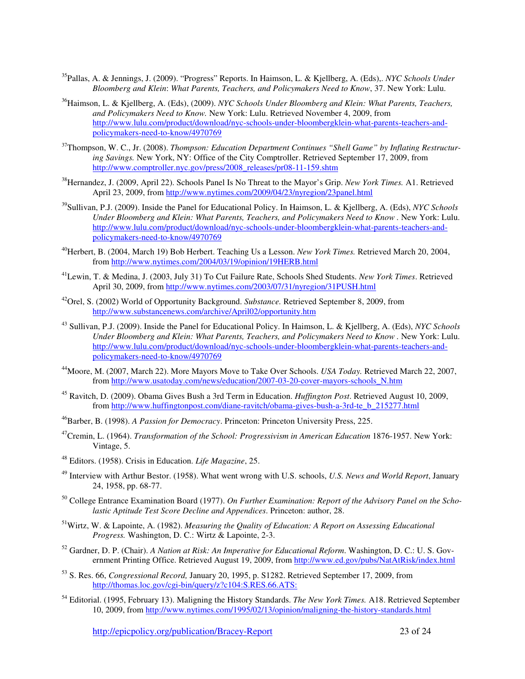- <sup>35</sup>Pallas, A. & Jennings, J. (2009). "Progress" Reports. In Haimson, L. & Kjellberg, A. (Eds),. *NYC Schools Under Bloomberg and Klein*: *What Parents, Teachers, and Policymakers Need to Know*, 37. New York: Lulu.
- <sup>36</sup>Haimson, L. & Kjellberg, A. (Eds), (2009). *NYC Schools Under Bloomberg and Klein: What Parents, Teachers, and Policymakers Need to Know.* New York: Lulu. Retrieved November 4, 2009, from http://www.lulu.com/product/download/nyc-schools-under-bloombergklein-what-parents-teachers-andpolicymakers-need-to-know/4970769
- <sup>37</sup>Thompson, W. C., Jr. (2008). *Thompson: Education Department Continues "Shell Game" by Inflating Restructuring Savings.* New York, NY: Office of the City Comptroller. Retrieved September 17, 2009, from http://www.comptroller.nyc.gov/press/2008\_releases/pr08-11-159.shtm
- <sup>38</sup>Hernandez, J. (2009, April 22). Schools Panel Is No Threat to the Mayor's Grip. *New York Times.* A1. Retrieved April 23, 2009, from http://www.nytimes.com/2009/04/23/nyregion/23panel.html
- <sup>39</sup>Sullivan, P.J. (2009). Inside the Panel for Educational Policy. In Haimson, L. & Kjellberg, A. (Eds), *NYC Schools Under Bloomberg and Klein: What Parents, Teachers, and Policymakers Need to Know .* New York: Lulu. http://www.lulu.com/product/download/nyc-schools-under-bloombergklein-what-parents-teachers-andpolicymakers-need-to-know/4970769
- <sup>40</sup>Herbert, B. (2004, March 19) Bob Herbert. Teaching Us a Lesson. *New York Times.* Retrieved March 20, 2004, from http://www.nytimes.com/2004/03/19/opinion/19HERB.html
- <sup>41</sup>Lewin, T. & Medina, J. (2003, July 31) To Cut Failure Rate, Schools Shed Students. *New York Times*. Retrieved April 30, 2009, from http://www.nytimes.com/2003/07/31/nyregion/31PUSH.html
- <sup>42</sup>Orel, S. (2002) World of Opportunity Background. *Substance.* Retrieved September 8, 2009, from http://www.substancenews.com/archive/April02/opportunity.htm
- <sup>43</sup> Sullivan, P.J. (2009). Inside the Panel for Educational Policy. In Haimson, L. & Kjellberg, A. (Eds), *NYC Schools Under Bloomberg and Klein: What Parents, Teachers, and Policymakers Need to Know .* New York: Lulu. http://www.lulu.com/product/download/nyc-schools-under-bloombergklein-what-parents-teachers-andpolicymakers-need-to-know/4970769
- <sup>44</sup>Moore, M. (2007, March 22). More Mayors Move to Take Over Schools. *USA Today.* Retrieved March 22, 2007, from http://www.usatoday.com/news/education/2007-03-20-cover-mayors-schools\_N.htm
- <sup>45</sup> Ravitch, D. (2009). Obama Gives Bush a 3rd Term in Education. *Huffington Post*. Retrieved August 10, 2009, from http://www.huffingtonpost.com/diane-ravitch/obama-gives-bush-a-3rd-te\_b\_215277.html
- <sup>46</sup>Barber, B. (1998). *A Passion for Democracy*. Princeton: Princeton University Press, 225.
- <sup>47</sup>Cremin, L. (1964). *Transformation of the School: Progressivism in American Education* 1876-1957. New York: Vintage, 5.
- <sup>48</sup> Editors. (1958). Crisis in Education. *Life Magazine*, 25.
- <sup>49</sup> Interview with Arthur Bestor. (1958). What went wrong with U.S. schools, *U.S. News and World Report*, January 24, 1958, pp. 68-77.
- <sup>50</sup> College Entrance Examination Board (1977). *On Further Examination: Report of the Advisory Panel on the Scholastic Aptitude Test Score Decline and Appendices*. Princeton: author, 28.
- <sup>51</sup>Wirtz, W. & Lapointe, A. (1982). *Measuring the Quality of Education: A Report on Assessing Educational Progress.* Washington, D. C.: Wirtz & Lapointe, 2-3.
- <sup>52</sup> Gardner, D. P. (Chair). *A Nation at Risk: An Imperative for Educational Reform*. Washington, D. C.: U. S. Government Printing Office. Retrieved August 19, 2009, from http://www.ed.gov/pubs/NatAtRisk/index.html
- <sup>53</sup> S. Res. 66, *Congressional Record,* January 20, 1995, p. S1282. Retrieved September 17, 2009, from http://thomas.loc.gov/cgi-bin/query/z?c104:S.RES.66.ATS:
- <sup>54</sup> Editorial. (1995, February 13). Maligning the History Standards. *The New York Times.* A18. Retrieved September 10, 2009, from http://www.nytimes.com/1995/02/13/opinion/maligning-the-history-standards.html

http://epicpolicy.org/publication/Bracey-Report23 of 24